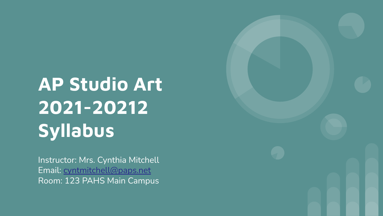**AP Studio Art 2021-20212 Syllabus**

Instructor: Mrs. Cynthia Mitchell Email: [cyntmitchell@paps.net](mailto:cyntmitchell@paps.net) Room: 123 PAHS Main Campus

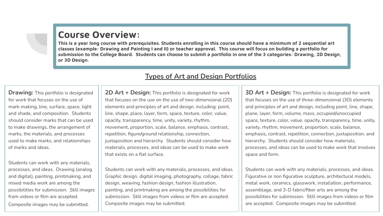### **Course Overview:**

**This is a year long course with prerequisites. Students enrolling in this course should have a minimum of 2 sequential art classes (example: Drawing and Painting I and II) or teacher approval. This course will focus on building a portfolio for submission to the College Board. Students can choose to submit a portfolio in one of the 3 categories: Drawing, 2D Design, or 3D Design.**

**Drawing:** This portfolio is designated for work that focuses on the use of mark-making, line, surface, space, light and shade, and composition. Students should consider marks that can be used to make drawings, the arrangement of marks, the materials, and processes used to make marks, and relationships of marks and ideas.

Students can work with any materials, processes, and ideas. Drawing (analog and digital), painting, printmaking, and mixed media work are among the possibilities for submission. Still images from videos or film are accepted. Composite images may be submitted.

#### **Types of Art and Design Portfolios**

**2D Art + Design:** This portfolio is designated for work that focuses on the use on the use of two-dimensional (2D) elements and principles of art and design, including: point, line, shape, place, layer, form, space, texture, color, value, opacity, transparency, time, unity, variety, rhythm, movement, proportion, scale, balance, emphasis, contrast, repetition, figure/ground relationship, connection, juxtaposition and hierarchy. Students should consider how materials, processes, and ideas can be used to make work that exists on a flat surface.

Students can work with any materials, processes, and ideas. Graphic design, digital imaging, photography, collage, fabric design, weaving, fashion design, fashion illustration, painting, and printmaking are among the possibilities for submission. Still images from videos or film are accepted. Composite images may be submitted.

**3D Art + Design:** This portfolio is designated for work that focuses on the use of three-dimensional (3D) elements and principles of art and design, including point, line, shape, plane, layer, form, volume, mass, occupied/unoccupied space, texture, color, value, opacity, transparency, time, unity, variety, rhythm, movement, proportion, scale, balance, emphasis, contrast, repetition, connection, juxtaposition, and hierarchy. Students should consider how materials, processes, and ideas can be used to make work that involves space and form.

Students can work with any materials, processes, and ideas. Figurative or non figurative sculpture, architectural models, metal work, ceramics, glasswork, installation, performance, assemblage, and 3-D fabric/fiber arts are among the possibilities for submission. Still images from videos or film are accepted. Composite images may be submitted.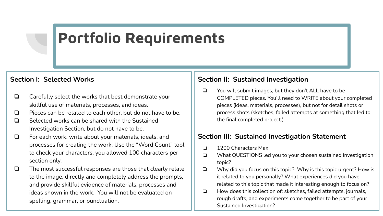## **Portfolio Requirements**

#### **Section I: Selected Works**

- ❏ Carefully select the works that best demonstrate your skillful use of materials, processes, and ideas.
- ❏ Pieces can be related to each other, but do not have to be.
- ❏ Selected works can be shared with the Sustained Investigation Section, but do not have to be.
- ❏ For each work, write about your materials, ideals, and processes for creating the work. Use the "Word Count" tool to check your characters, you allowed 100 characters per section only.
- ❏ The most successful responses are those that clearly relate to the image, directly and completely address the prompts, and provide skillful evidence of materials, processes and ideas shown in the work. You will not be evaluated on spelling, grammar, or punctuation.

#### **Section II: Sustained Investigation**

❏ You will submit images, but they don't ALL have to be COMPLETED pieces. You'll need to WRITE about your completed pieces (ideas, materials, processes), but not for detail shots or process shots (sketches, failed attempts at something that led to the final completed project.)

#### **Section III: Sustained Investigation Statement**

- ❏ 1200 Characters Max
- ❏ What QUESTIONS led you to your chosen sustained investigation topic?
- ❏ Why did you focus on this topic? Why is this topic urgent? How is it related to you personally? What experiences did you have related to this topic that made it interesting enough to focus on?
- ❏ How does this collection of: sketches, failed attempts, journals, rough drafts, and experiments come together to be part of your Sustained Investigation?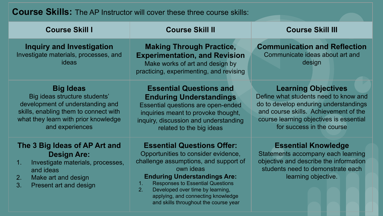## **Course Skills:** The AP Instructor will cover these three course skills:

| <b>Course Skill I</b>                                                                                                                                                                     | <b>Course Skill II</b>                                                                                                                                                                                                                                                                                                                                                  | <b>Course Skill III</b>                                                                                                                                                                                                       |  |  |
|-------------------------------------------------------------------------------------------------------------------------------------------------------------------------------------------|-------------------------------------------------------------------------------------------------------------------------------------------------------------------------------------------------------------------------------------------------------------------------------------------------------------------------------------------------------------------------|-------------------------------------------------------------------------------------------------------------------------------------------------------------------------------------------------------------------------------|--|--|
| <b>Inquiry and Investigation</b><br>Investigate materials, processes, and<br>ideas                                                                                                        | <b>Making Through Practice,</b><br><b>Experimentation, and Revision</b><br>Make works of art and design by<br>practicing, experimenting, and revising                                                                                                                                                                                                                   | <b>Communication and Reflection</b><br>Communicate ideas about art and<br>design                                                                                                                                              |  |  |
| <b>Big Ideas</b><br>Big ideas structure students'<br>development of understanding and<br>skills, enabling them to connect with<br>what they learn with prior knowledge<br>and experiences | <b>Essential Questions and</b><br><b>Enduring Understandings</b><br>Essential questions are open-ended<br>inquiries meant to provoke thought,<br>inquiry, discussion and understanding<br>related to the big ideas                                                                                                                                                      | <b>Learning Objectives</b><br>Define what students need to know and<br>do to develop enduring understandings<br>and course skills. Achievement of the<br>course learning objectives is essential<br>for success in the course |  |  |
| The 3 Big Ideas of AP Art and<br><b>Design Are:</b><br>Investigate materials, processes,<br>1.<br>and ideas<br>Make art and design<br>2.<br>3.<br>Present art and design                  | <b>Essential Questions Offer:</b><br>Opportunities to consider evidence,<br>challenge assumptions, and support of<br>own ideas<br><b>Enduring Understandings Are:</b><br><b>Responses to Essential Questions</b><br>1 <sub>1</sub><br>Developed over time by learning,<br>2 <sub>1</sub><br>applying, and connecting knowledge<br>and skills throughout the course year | <b>Essential Knowledge</b><br>Statements accompany each learning<br>objective and describe the information<br>students need to demonstrate each<br>learning objective.                                                        |  |  |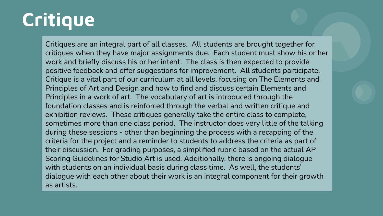# **Critique**

Critiques are an integral part of all classes. All students are brought together for critiques when they have major assignments due. Each student must show his or her work and briefly discuss his or her intent. The class is then expected to provide positive feedback and offer suggestions for improvement. All students participate. Critique is a vital part of our curriculum at all levels, focusing on The Elements and Principles of Art and Design and how to find and discuss certain Elements and Principles in a work of art. The vocabulary of art is introduced through the foundation classes and is reinforced through the verbal and written critique and exhibition reviews. These critiques generally take the entire class to complete, sometimes more than one class period. The instructor does very little of the talking during these sessions - other than beginning the process with a recapping of the criteria for the project and a reminder to students to address the criteria as part of their discussion. For grading purposes, a simplified rubric based on the actual AP Scoring Guidelines for Studio Art is used. Additionally, there is ongoing dialogue with students on an individual basis during class time. As well, the students' dialogue with each other about their work is an integral component for their growth as artists.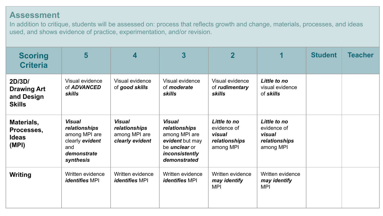#### **Assessment**

In addition to critique, students will be assessed on: process that reflects growth and change, materials, processes, and ideas used, and shows evidence of practice, experimentation, and/or revision.

| <b>Scoring</b><br><b>Criteria</b>                           | 5                                                                                                     | $\overline{\mathbf{4}}$                                            | 3                                                                                                                            | $\overline{\mathbf{2}}$                                             |                                                                     | <b>Student</b> | <b>Teacher</b> |
|-------------------------------------------------------------|-------------------------------------------------------------------------------------------------------|--------------------------------------------------------------------|------------------------------------------------------------------------------------------------------------------------------|---------------------------------------------------------------------|---------------------------------------------------------------------|----------------|----------------|
| 2D/3D/<br><b>Drawing Art</b><br>and Design<br><b>Skills</b> | Visual evidence<br>of ADVANCED<br>skills                                                              | Visual evidence<br>of good skills                                  | Visual evidence<br>of <i>moderate</i><br>skills                                                                              | Visual evidence<br>of rudimentary<br>skills                         | Little to no<br>visual evidence<br>of skills                        |                |                |
| Materials,<br>Processes,<br><b>Ideas</b><br>(MPI)           | <b>Visual</b><br>relationships<br>among MPI are<br>clearly evident<br>and<br>demonstrate<br>synthesis | <b>Visual</b><br>relationships<br>among MPI are<br>clearly evident | <b>Visual</b><br>relationships<br>among MPI are<br>evident but may<br>be <i>unclear</i> or<br>inconsistently<br>demonstrated | Little to no<br>evidence of<br>visual<br>relationships<br>among MPI | Little to no<br>evidence of<br>visual<br>relationships<br>among MPI |                |                |
| Writing                                                     | Written evidence<br><i>identifies</i> MPI                                                             | Written evidence<br><i>identifies</i> MPI                          | Written evidence<br><i>identifies</i> MPI                                                                                    | Written evidence<br>may identify<br><b>MPI</b>                      | Written evidence<br>may identify<br><b>MPI</b>                      |                |                |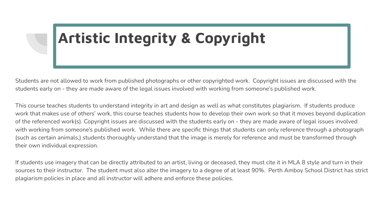# **Artistic Integrity & Copyright**

Students are not allowed to work from published photographs or other copyrighted work. Copyright issues are discussed with the students early on - they are made aware of the legal issues involved with working from someone's published work.

This course teaches students to understand integrity in art and design as well as what constitutes plagiarism. If students produce work that makes use of others' work, this course teaches students how to develop their own work so that it moves beyond duplication of the referenced work(s). Copyright issues are discussed with the students early on - they are made aware of legal issues involved with working from someone's published work. While there are specific things that students can only reference through a photograph (such as certain animals,) students thoroughly understand that the image is merely for reference and must be transformed through their own individual expression.

If students use imagery that can be directly attributed to an artist, living or deceased, they must cite it in MLA 8 style and turn in their sources to their instructor. The student must also alter the imagery to a degree of at least 90%. Perth Amboy School District has strict plagiarism policies in place and all instructor will adhere and enforce these policies.